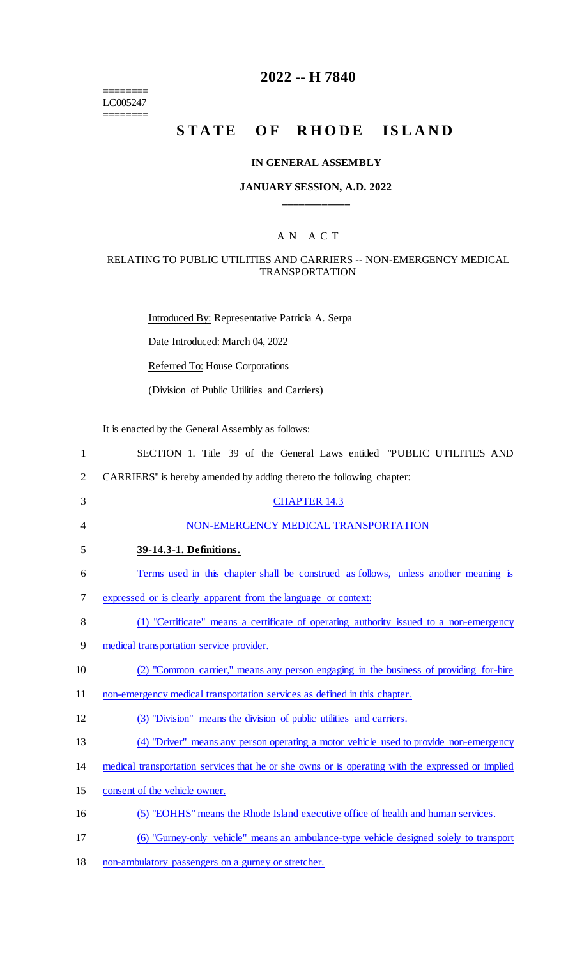======== LC005247

 $=$ 

## **2022 -- H 7840**

## **STATE OF RHODE ISLAND**

### **IN GENERAL ASSEMBLY**

### **JANUARY SESSION, A.D. 2022 \_\_\_\_\_\_\_\_\_\_\_\_**

### A N A C T

### RELATING TO PUBLIC UTILITIES AND CARRIERS -- NON-EMERGENCY MEDICAL TRANSPORTATION

Introduced By: Representative Patricia A. Serpa

Date Introduced: March 04, 2022

Referred To: House Corporations

(Division of Public Utilities and Carriers)

It is enacted by the General Assembly as follows:

| 1              | SECTION 1. Title 39 of the General Laws entitled "PUBLIC UTILITIES AND                            |
|----------------|---------------------------------------------------------------------------------------------------|
| $\overline{2}$ | CARRIERS" is hereby amended by adding thereto the following chapter:                              |
| 3              | <b>CHAPTER 14.3</b>                                                                               |
| $\overline{4}$ | NON-EMERGENCY MEDICAL TRANSPORTATION                                                              |
| 5              | 39-14.3-1. Definitions.                                                                           |
| 6              | Terms used in this chapter shall be construed as follows, unless another meaning is               |
| 7              | expressed or is clearly apparent from the language or context:                                    |
| 8              | (1) "Certificate" means a certificate of operating authority issued to a non-emergency            |
| 9              | medical transportation service provider.                                                          |
| 10             | (2) "Common carrier," means any person engaging in the business of providing for-hire             |
| 11             | non-emergency medical transportation services as defined in this chapter.                         |
| 12             | (3) "Division" means the division of public utilities and carriers.                               |
| 13             | (4) "Driver" means any person operating a motor vehicle used to provide non-emergency             |
| 14             | medical transportation services that he or she owns or is operating with the expressed or implied |
| 15             | consent of the vehicle owner.                                                                     |
| 16             | (5) "EOHHS" means the Rhode Island executive office of health and human services.                 |
| 17             | (6) "Gurney-only vehicle" means an ambulance-type vehicle designed solely to transport            |

18 non-ambulatory passengers on a gurney or stretcher.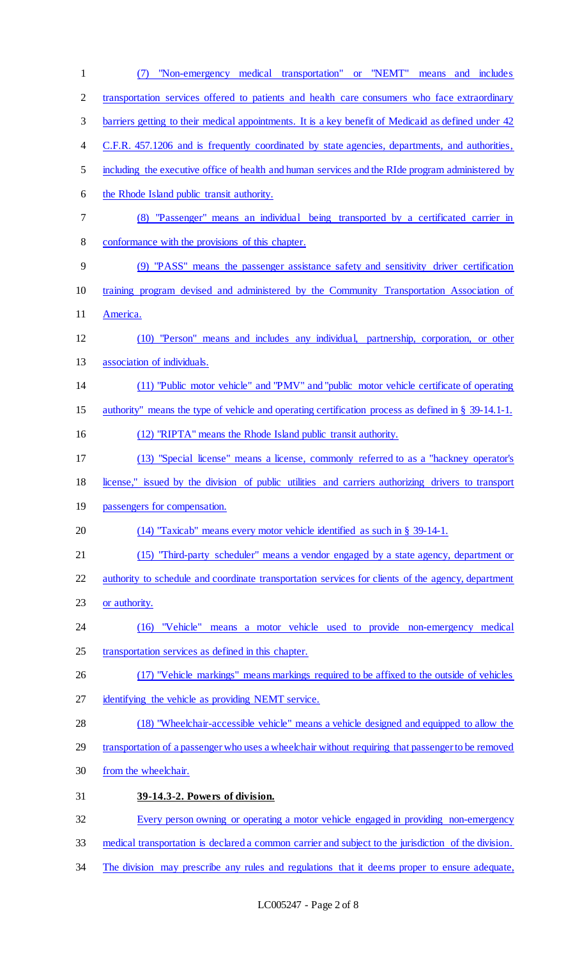| $\mathbf{1}$   | or "NEMT"<br>"Non-emergency medical transportation"<br>means and includes<br>(7)                     |
|----------------|------------------------------------------------------------------------------------------------------|
| $\overline{2}$ | transportation services offered to patients and health care consumers who face extraordinary         |
| 3              | barriers getting to their medical appointments. It is a key benefit of Medicaid as defined under 42  |
| 4              | C.F.R. 457.1206 and is frequently coordinated by state agencies, departments, and authorities,       |
| 5              | including the executive office of health and human services and the RIde program administered by     |
| 6              | the Rhode Island public transit authority.                                                           |
| 7              | (8) "Passenger" means an individual being transported by a certificated carrier in                   |
| 8              | conformance with the provisions of this chapter.                                                     |
| 9              | (9) "PASS" means the passenger assistance safety and sensitivity driver certification                |
| 10             | training program devised and administered by the Community Transportation Association of             |
| 11             | America.                                                                                             |
| 12             | (10) "Person" means and includes any individual, partnership, corporation, or other                  |
| 13             | association of individuals.                                                                          |
| 14             | (11) "Public motor vehicle" and "PMV" and "public motor vehicle certificate of operating             |
| 15             | authority" means the type of vehicle and operating certification process as defined in § 39-14.1-1.  |
| 16             | (12) "RIPTA" means the Rhode Island public transit authority.                                        |
| 17             | (13) "Special license" means a license, commonly referred to as a "hackney operator's                |
| 18             | license," issued by the division of public utilities and carriers authorizing drivers to transport   |
| 19             | passengers for compensation.                                                                         |
| 20             | $(14)$ "Taxicab" means every motor vehicle identified as such in § 39-14-1.                          |
| 21             | (15) "Third-party scheduler" means a vendor engaged by a state agency, department or                 |
| 22             | authority to schedule and coordinate transportation services for clients of the agency, department   |
| 23             | or authority.                                                                                        |
| 24             | (16) "Vehicle" means a motor vehicle used to provide non-emergency medical                           |
| 25             | transportation services as defined in this chapter.                                                  |
| 26             | (17) "Vehicle markings" means markings required to be affixed to the outside of vehicles             |
| 27             | identifying the vehicle as providing NEMT service.                                                   |
| 28             | (18) "Wheelchair-accessible vehicle" means a vehicle designed and equipped to allow the              |
| 29             | transportation of a passenger who uses a wheelchair without requiring that passenger to be removed   |
| 30             | from the wheelchair.                                                                                 |
| 31             | 39-14.3-2. Powers of division.                                                                       |
| 32             | Every person owning or operating a motor vehicle engaged in providing non-emergency                  |
| 33             | medical transportation is declared a common carrier and subject to the jurisdiction of the division. |
| 34             | The division may prescribe any rules and regulations that it deems proper to ensure adequate,        |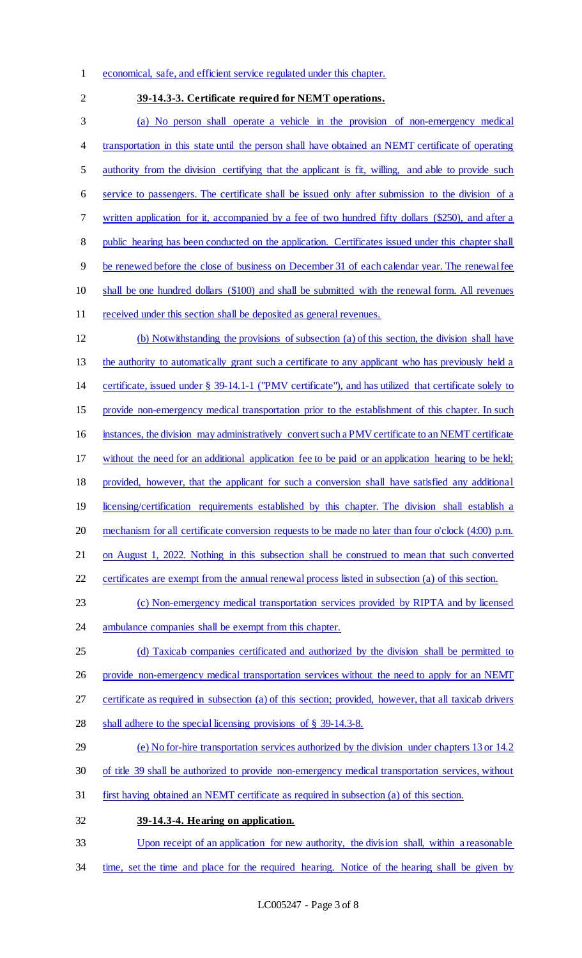- economical, safe, and efficient service regulated under this chapter.
- **39-14.3-3. Certificate required for NEMT operations.** (a) No person shall operate a vehicle in the provision of non-emergency medical transportation in this state until the person shall have obtained an NEMT certificate of operating authority from the division certifying that the applicant is fit, willing, and able to provide such service to passengers. The certificate shall be issued only after submission to the division of a written application for it, accompanied by a fee of two hundred fifty dollars (\$250), and after a 8 public hearing has been conducted on the application. Certificates issued under this chapter shall be renewed before the close of business on December 31 of each calendar year. The renewal fee shall be one hundred dollars (\$100) and shall be submitted with the renewal form. All revenues 11 received under this section shall be deposited as general revenues. (b) Notwithstanding the provisions of subsection (a) of this section, the division shall have the authority to automatically grant such a certificate to any applicant who has previously held a certificate, issued under § 39-14.1-1 ("PMV certificate"), and has utilized that certificate solely to provide non-emergency medical transportation prior to the establishment of this chapter. In such instances, the division may administratively convert such a PMV certificate to an NEMT certificate without the need for an additional application fee to be paid or an application hearing to be held; provided, however, that the applicant for such a conversion shall have satisfied any additional 19 licensing/certification requirements established by this chapter. The division shall establish a mechanism for all certificate conversion requests to be made no later than four o'clock (4:00) p.m. on August 1, 2022. Nothing in this subsection shall be construed to mean that such converted certificates are exempt from the annual renewal process listed in subsection (a) of this section. (c) Non-emergency medical transportation services provided by RIPTA and by licensed ambulance companies shall be exempt from this chapter. (d) Taxicab companies certificated and authorized by the division shall be permitted to 26 provide non-emergency medical transportation services without the need to apply for an NEMT certificate as required in subsection (a) of this section; provided, however, that all taxicab drivers shall adhere to the special licensing provisions of § 39-14.3-8. (e) No for-hire transportation services authorized by the division under chapters 13 or 14.2 of title 39 shall be authorized to provide non-emergency medical transportation services, without first having obtained an NEMT certificate as required in subsection (a) of this section.
- Upon receipt of an application for new authority, the division shall, within a reasonable

**39-14.3-4. Hearing on application.**

time, set the time and place for the required hearing. Notice of the hearing shall be given by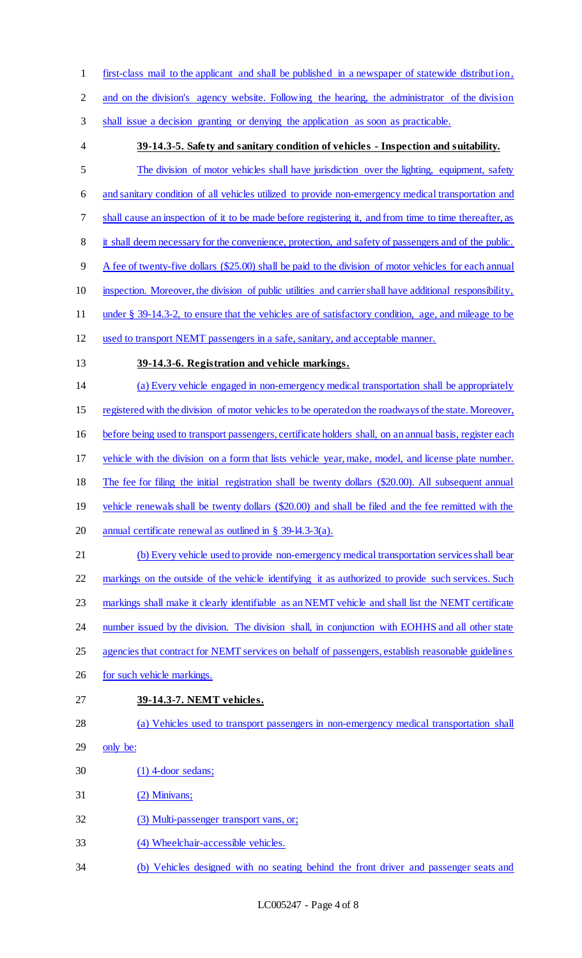first-class mail to the applicant and shall be published in a newspaper of statewide distribution, and on the division's agency website. Following the hearing, the administrator of the division shall issue a decision granting or denying the application as soon as practicable. **39-14.3-5. Safety and sanitary condition of vehicles - Inspection and suitability.** The division of motor vehicles shall have jurisdiction over the lighting, equipment, safety and sanitary condition of all vehicles utilized to provide non-emergency medical transportation and shall cause an inspection of it to be made before registering it, and from time to time thereafter, as it shall deem necessary for the convenience, protection, and safety of passengers and of the public. A fee of twenty-five dollars (\$25.00) shall be paid to the division of motor vehicles for each annual inspection. Moreover, the division of public utilities and carrier shall have additional responsibility, under § 39-14.3-2, to ensure that the vehicles are of satisfactory condition, age, and mileage to be used to transport NEMT passengers in a safe, sanitary, and acceptable manner. **39-14.3-6. Registration and vehicle markings.** (a) Every vehicle engaged in non-emergency medical transportation shall be appropriately registered with the division of motor vehicles to be operated on the roadways of the state. Moreover, before being used to transport passengers, certificate holders shall, on an annual basis, register each vehicle with the division on a form that lists vehicle year, make, model, and license plate number. The fee for filing the initial registration shall be twenty dollars (\$20.00). All subsequent annual vehicle renewals shall be twenty dollars (\$20.00) and shall be filed and the fee remitted with the 20 annual certificate renewal as outlined in § 39-14.3-3(a). (b) Every vehicle used to provide non-emergency medical transportation services shall bear 22 markings on the outside of the vehicle identifying it as authorized to provide such services. Such markings shall make it clearly identifiable as an NEMT vehicle and shall list the NEMT certificate 24 number issued by the division. The division shall, in conjunction with EOHHS and all other state 25 agencies that contract for NEMT services on behalf of passengers, establish reasonable guidelines 26 for such vehicle markings. **39-14.3-7. NEMT vehicles.** (a) Vehicles used to transport passengers in non-emergency medical transportation shall only be: (1) 4-door sedans; (2) Minivans; 32 (3) Multi-passenger transport vans, or; (4) Wheelchair-accessible vehicles. (b) Vehicles designed with no seating behind the front driver and passenger seats and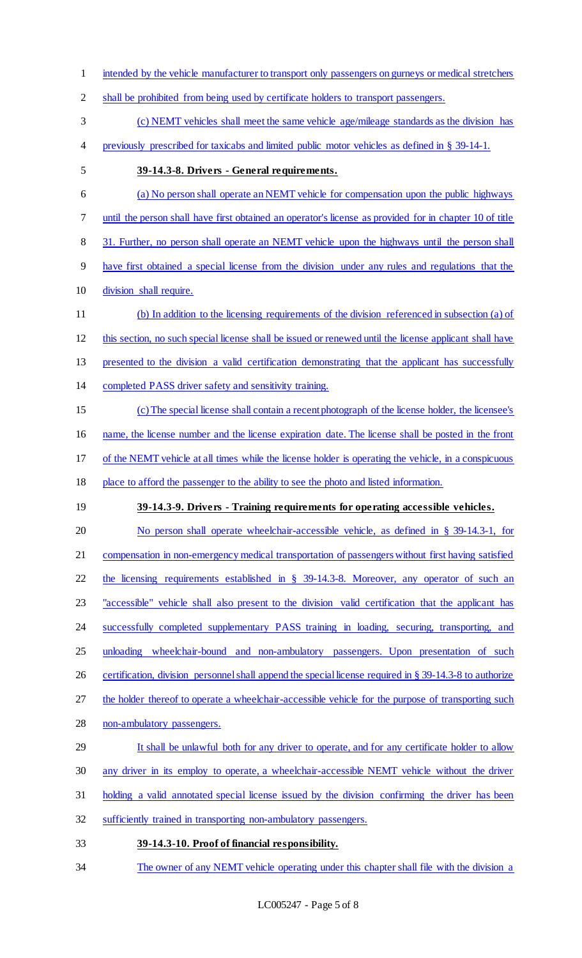- intended by the vehicle manufacturer to transport only passengers on gurneys or medical stretchers
- shall be prohibited from being used by certificate holders to transport passengers.
- (c) NEMT vehicles shall meet the same vehicle age/mileage standards as the division has
- previously prescribed for taxicabs and limited public motor vehicles as defined in § 39-14-1.
- **39-14.3-8. Drivers - General requirements.**
- (a) No person shall operate an NEMT vehicle for compensation upon the public highways until the person shall have first obtained an operator's license as provided for in chapter 10 of title 31. Further, no person shall operate an NEMT vehicle upon the highways until the person shall have first obtained a special license from the division under any rules and regulations that the division shall require. (b) In addition to the licensing requirements of the division referenced in subsection (a) of this section, no such special license shall be issued or renewed until the license applicant shall have presented to the division a valid certification demonstrating that the applicant has successfully completed PASS driver safety and sensitivity training. (c) The special license shall contain a recent photograph of the license holder, the licensee's name, the license number and the license expiration date. The license shall be posted in the front of the NEMT vehicle at all times while the license holder is operating the vehicle, in a conspicuous place to afford the passenger to the ability to see the photo and listed information. **39-14.3-9. Drivers - Training requirements for operating accessible vehicles.** 20 No person shall operate wheelchair-accessible vehicle, as defined in § 39-14.3-1, for compensation in non-emergency medical transportation of passengers without first having satisfied the licensing requirements established in § 39-14.3-8. Moreover, any operator of such an "accessible" vehicle shall also present to the division valid certification that the applicant has
- successfully completed supplementary PASS training in loading, securing, transporting, and
- 25 unloading wheelchair-bound and non-ambulatory passengers. Upon presentation of such
- 26 certification, division personnel shall append the special license required in § 39-14.3-8 to authorize
- 27 the holder thereof to operate a wheelchair-accessible vehicle for the purpose of transporting such
- non-ambulatory passengers.
- 29 It shall be unlawful both for any driver to operate, and for any certificate holder to allow
- any driver in its employ to operate, a wheelchair-accessible NEMT vehicle without the driver
- holding a valid annotated special license issued by the division confirming the driver has been
- sufficiently trained in transporting non-ambulatory passengers.
- **39-14.3-10. Proof of financial responsibility.**
- 34 The owner of any NEMT vehicle operating under this chapter shall file with the division a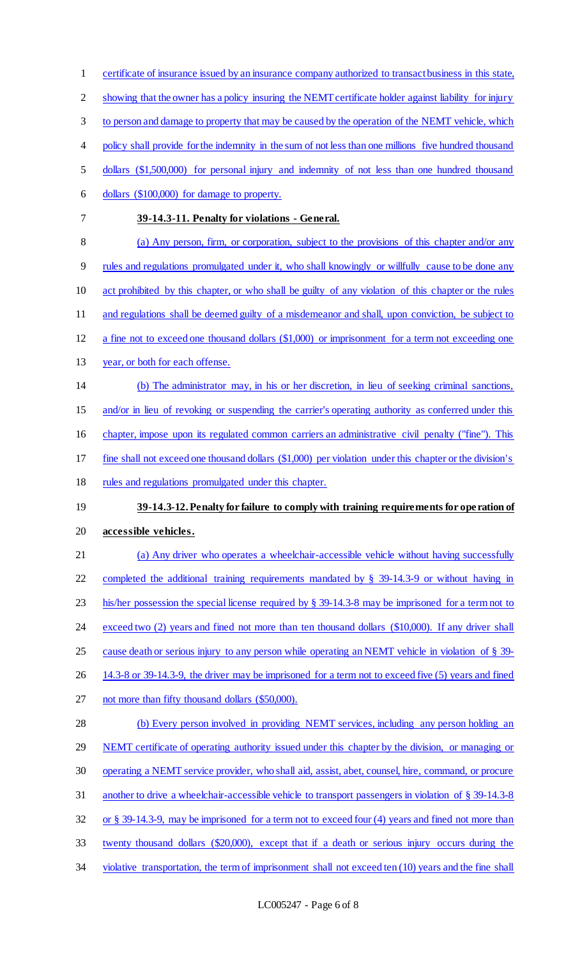- certificate of insurance issued by an insurance company authorized to transact business in this state,
- showing that the owner has a policy insuring the NEMT certificate holder against liability for injury
- to person and damage to property that may be caused by the operation of the NEMT vehicle, which
- 4 policy shall provide for the indemnity in the sum of not less than one millions five hundred thousand
- dollars (\$1,500,000) for personal injury and indemnity of not less than one hundred thousand
- dollars (\$100,000) for damage to property.
- 

### **39-14.3-11. Penalty for violations - General.**

- (a) Any person, firm, or corporation, subject to the provisions of this chapter and/or any rules and regulations promulgated under it, who shall knowingly or willfully cause to be done any
- act prohibited by this chapter, or who shall be guilty of any violation of this chapter or the rules
- and regulations shall be deemed guilty of a misdemeanor and shall, upon conviction, be subject to
- a fine not to exceed one thousand dollars (\$1,000) or imprisonment for a term not exceeding one
- year, or both for each offense.
- (b) The administrator may, in his or her discretion, in lieu of seeking criminal sanctions,
- 15 and/or in lieu of revoking or suspending the carrier's operating authority as conferred under this
- 16 chapter, impose upon its regulated common carriers an administrative civil penalty ("fine"). This
- fine shall not exceed one thousand dollars (\$1,000) per violation under this chapter or the division's
- 18 rules and regulations promulgated under this chapter.

# **39-14.3-12. Penalty for failure to comply with training requirements for ope ration of accessible vehicles.**

- (a) Any driver who operates a wheelchair-accessible vehicle without having successfully completed the additional training requirements mandated by § 39-14.3-9 or without having in his/her possession the special license required by § 39-14.3-8 may be imprisoned for a term not to 24 exceed two (2) years and fined not more than ten thousand dollars (\$10,000). If any driver shall cause death or serious injury to any person while operating an NEMT vehicle in violation of § 39- 14.3-8 or 39-14.3-9, the driver may be imprisoned for a term not to exceed five (5) years and fined not more than fifty thousand dollars (\$50,000). (b) Every person involved in providing NEMT services, including any person holding an 29 NEMT certificate of operating authority issued under this chapter by the division, or managing or
- operating a NEMT service provider, who shall aid, assist, abet, counsel, hire, command, or procure
- another to drive a wheelchair-accessible vehicle to transport passengers in violation of § 39-14.3-8
- 
- or § 39-14.3-9, may be imprisoned for a term not to exceed four (4) years and fined not more than
- twenty thousand dollars (\$20,000), except that if a death or serious injury occurs during the
- 34 violative transportation, the term of imprisonment shall not exceed ten (10) years and the fine shall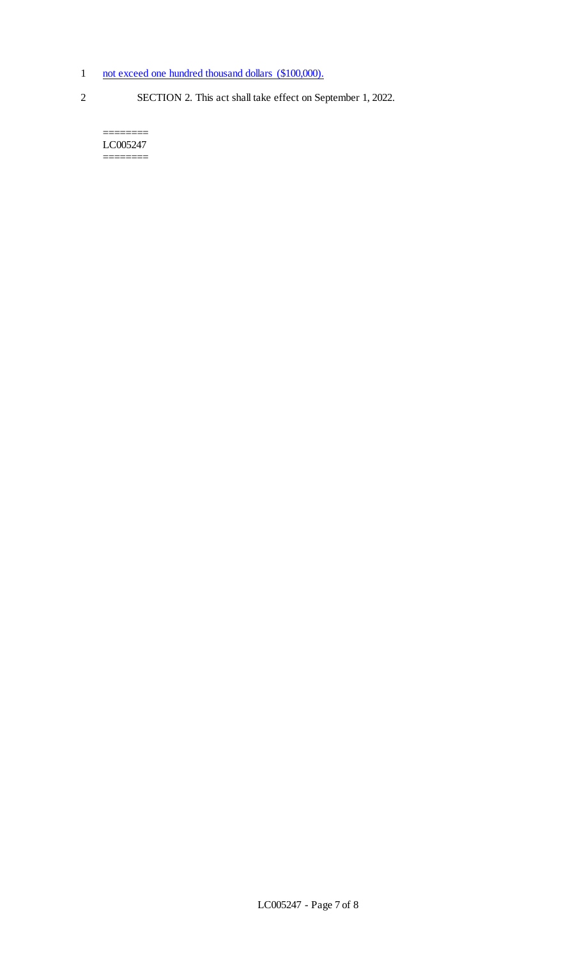- 1 not exceed one hundred thousand dollars (\$100,000).
- 
- 2 SECTION 2. This act shall take effect on September 1, 2022.

LC005247 ========

========